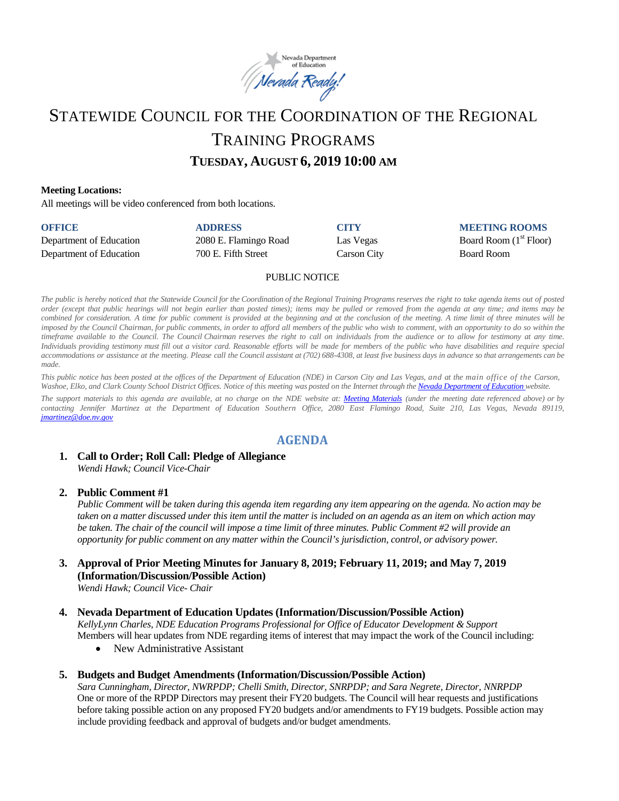

# STATEWIDE COUNCIL FOR THE COORDINATION OF THE REGIONAL TRAINING PROGRAMS **TUESDAY, AUGUST 6, 2019 10:00 AM**

#### **Meeting Locations:**

All meetings will be video conferenced from both locations.

| <b>OFFICE</b>           | <b>ADDRESS</b>        | <b>CITY</b> | <b>MEETING ROOMS</b>     |
|-------------------------|-----------------------|-------------|--------------------------|
| Department of Education | 2080 E. Flamingo Road | Las Vegas   | Board Room $(1st$ Floor) |
| Department of Education | 700 E. Fifth Street   | Carson City | <b>Board Room</b>        |

#### PUBLIC NOTICE

The public is hereby noticed that the Statewide Council for the Coordination of the Regional Training Programs reserves the right to take agenda items out of posted order (except that public hearings will not begin earlier than posted times); items may be pulled or removed from the agenda at any time; and items may be combined for consideration. A time for public comment is provided at the beginning and at the conclusion of the meeting. A time limit of three minutes will be imposed by the Council Chairman, for public comments, in order to afford all members of the public who wish to comment, with an opportunity to do so within the timeframe available to the Council. The Council Chairman reserves the right to call on individuals from the audience or to allow for testimony at any time. Individuals providing testimony must fill out a visitor card. Reasonable efforts will be made for members of the public who have disabilities and require special accommodations or assistance at the meeting. Please call the Council assistant at (702) 688-4308, at least five business days in advance so that arrangements can be *made.*

This public notice has been posted at the offices of the Department of Education (NDE) in Carson City and Las Vegas, and at the main office of the Carson, Washoe, Elko, and Clark County School District Offices. Notice of this meeting was posted on the Internet through th[e Nevada Department](http://www.doe.nv.gov/) of Education website.

The support materials to this agenda are available, at no charge on the NDE website at: [Meeting Materials](http://www.doe.nv.gov/StateBoardEducationMeetings/) (under the meeting date referenced above) or by *contacting Jennifer Martinez at the Department of Education Southern Office, 2080 East Flamingo Road, Suite 210, Las Vegas, Nevada 89119, [jmartinez@doe.nv.gov](mailto:jmartinez@doe.nv.gov)*

## **AGENDA**

## **1. Call to Order; Roll Call: Pledge of Allegiance**

*Wendi Hawk; Council Vice-Chair* 

#### **2. Public Comment #1**

*Public Comment will be taken during this agenda item regarding any item appearing on the agenda. No action may be taken on a matter discussed under this item until the matter is included on an agenda as an item on which action may be taken. The chair of the council will impose a time limit of three minutes. Public Comment #2 will provide an opportunity for public comment on any matter within the Council's jurisdiction, control, or advisory power.* 

**3. Approval of Prior Meeting Minutes for January 8, 2019; February 11, 2019; and May 7, 2019 (Information/Discussion/Possible Action)** 

*Wendi Hawk; Council Vice- Chair* 

#### **4. Nevada Department of Education Updates (Information/Discussion/Possible Action)**

*KellyLynn Charles, NDE Education Programs Professional for Office of Educator Development & Support* Members will hear updates from NDE regarding items of interest that may impact the work of the Council including:

New Administrative Assistant

#### **5. Budgets and Budget Amendments (Information/Discussion/Possible Action)**

*Sara Cunningham, Director, NWRPDP; Chelli Smith, Director, SNRPDP; and Sara Negrete, Director, NNRPDP*  One or more of the RPDP Directors may present their FY20 budgets. The Council will hear requests and justifications before taking possible action on any proposed FY20 budgets and/or amendments to FY19 budgets. Possible action may include providing feedback and approval of budgets and/or budget amendments.